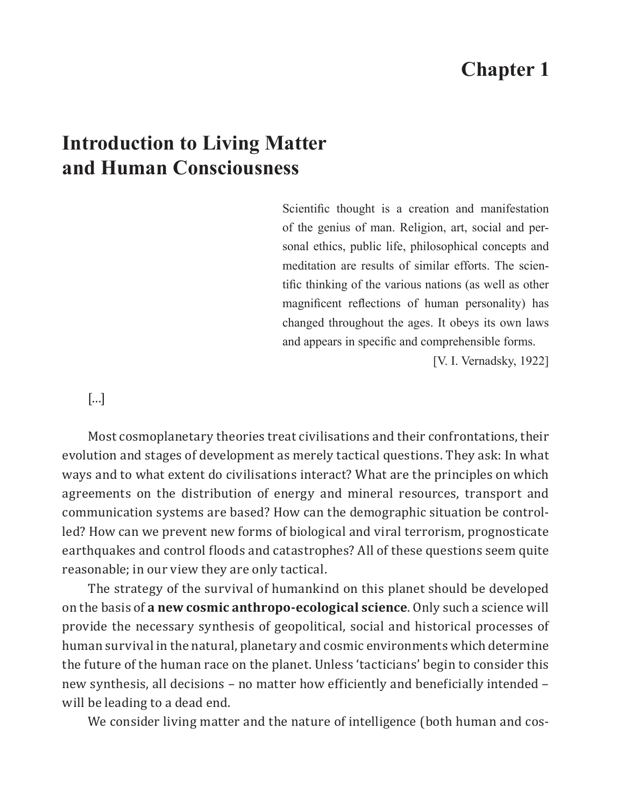## **Chapter 1**

## **Introduction to Living Matter and Human Consciousness**

Scientific thought is a creation and manifestation of the genius of man. Religion, art, social and personal ethics, public life, philosophical concepts and meditation are results of similar efforts. The scientific thinking of the various nations (as well as other magnificent reflections of human personality) has changed throughout the ages. It obeys its own laws and appears in specific and comprehensible forms.

[V. I. Vernadsky, 1922]

## [...]

Most cosmoplanetary theories treat civilisations and their confrontations, their evolution and stages of development as merely tactical questions. They ask: In what ways and to what extent do civilisations interact? What are the principles on which agreements on the distribution of energy and mineral resources, transport and communication systems are based? How can the demographic situation be controlled? How can we prevent new forms of biological and viral terrorism, prognosticate earthquakes and control floods and catastrophes? All of these questions seem quite reasonable; in our view they are only tactical.

The strategy of the survival of humankind on this planet should be developed on the basis of **a new cosmic anthropo-ecological science**. Only such a science will provide the necessary synthesis of geopolitical, social and historical processes of human survival in the natural, planetary and cosmic environments which determine the future of the human race on the planet. Unless 'tacticians' begin to consider this new synthesis, all decisions – no matter how efficiently and beneficially intended – will be leading to a dead end.

We consider living matter and the nature of intelligence (both human and cos-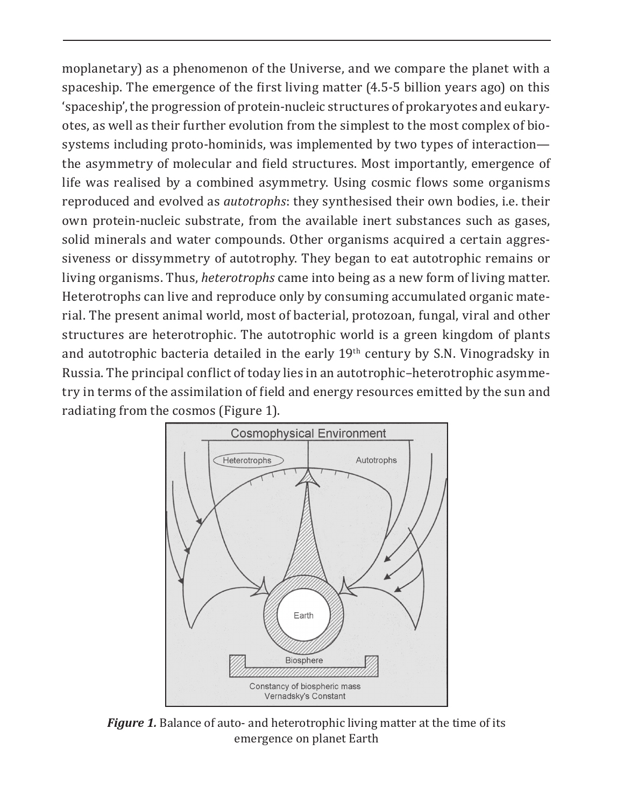moplanetary) as a phenomenon of the Universe, and we compare the planet with a spaceship. The emergence of the first living matter (4.5-5 billion years ago) on this 'spaceship', the progression of protein-nucleic structures of prokaryotes and eukaryotes, as well as their further evolution from the simplest to the most complex of biosystems including proto-hominids, was implemented by two types of interaction the asymmetry of molecular and field structures. Most importantly, emergence of life was realised by a combined asymmetry. Using cosmic flows some organisms reproduced and evolved as *autotrophs*: they synthesised their own bodies, i.e. their own protein-nucleic substrate, from the available inert substances such as gases, solid minerals and water compounds. Other organisms acquired a certain aggressiveness or dissymmetry of autotrophy. They began to eat autotrophic remains or living organisms. Thus, *heterotrophs* came into being as a new form of living matter. Heterotrophs can live and reproduce only by consuming accumulated organic material. The present animal world, most of bacterial, protozoan, fungal, viral and other structures are heterotrophic. The autotrophic world is a green kingdom of plants and autotrophic bacteria detailed in the early  $19<sup>th</sup>$  century by S.N. Vinogradsky in Russia. The principal conflict of today lies in an autotrophic–heterotrophic asymmetry in terms of the assimilation of field and energy resources emitted by the sun and radiating from the cosmos (Figure 1).



*Figure 1.* Balance of auto- and heterotrophic living matter at the time of its emergence on planet Earth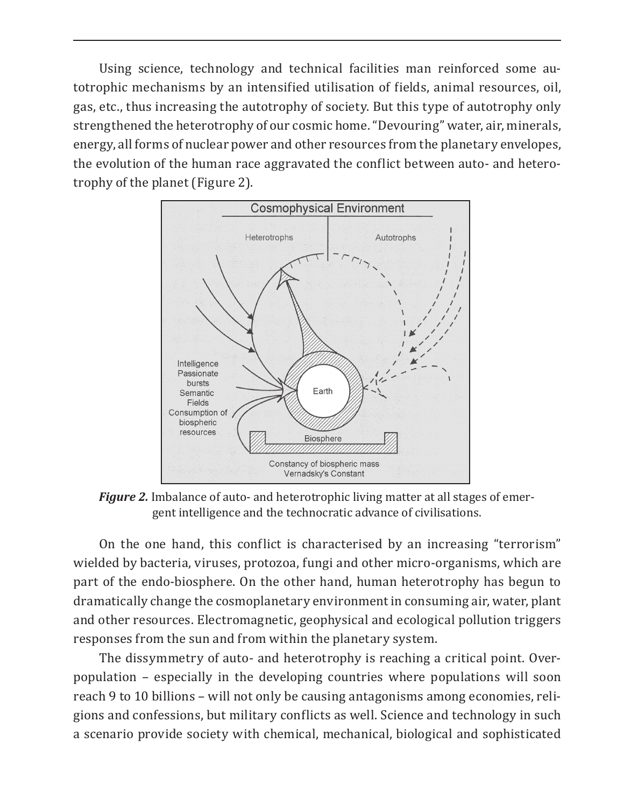Using science, technology and technical facilities man reinforced some autotrophic mechanisms by an intensified utilisation of fields, animal resources, oil, gas, etc., thus increasing the autotrophy of society. But this type of autotrophy only strengthened the heterotrophy of our cosmic home. "Devouring" water, air, minerals, energy, all forms of nuclear power and other resources from the planetary envelopes, the evolution of the human race aggravated the conflict between auto- and heterotrophy of the planet (Figure 2).



*Figure 2.* Imbalance of auto- and heterotrophic living matter at all stages of emergent intelligence and the technocratic advance of civilisations.

On the one hand, this conflict is characterised by an increasing "terrorism" wielded by bacteria, viruses, protozoa, fungi and other micro-organisms, which are part of the endo-biosphere. On the other hand, human heterotrophy has begun to dramatically change the cosmoplanetary environment in consuming air, water, plant and other resources. Electromagnetic, geophysical and ecological pollution triggers responses from the sun and from within the planetary system.

The dissymmetry of auto- and heterotrophy is reaching a critical point. Overpopulation – especially in the developing countries where populations will soon reach 9 to 10 billions – will not only be causing antagonisms among economies, religions and confessions, but military conflicts as well. Science and technology in such a scenario provide society with chemical, mechanical, biological and sophisticated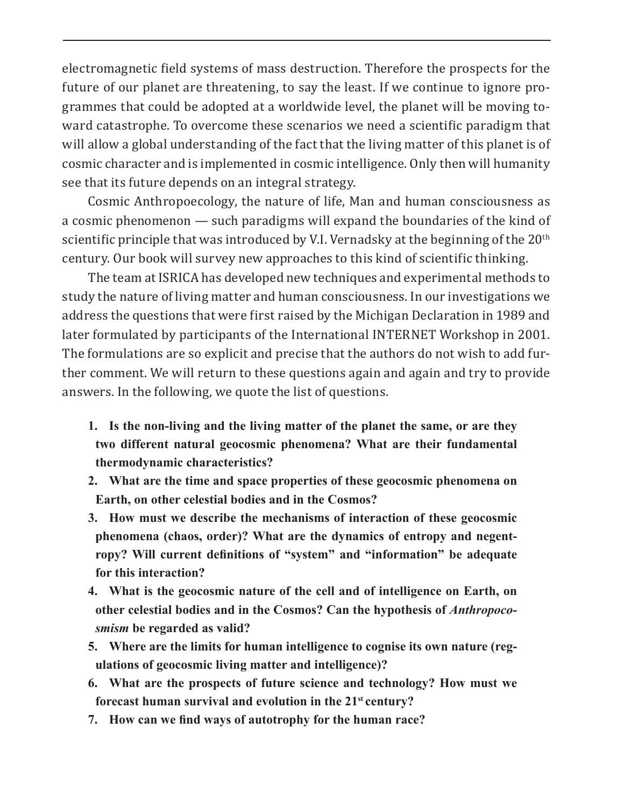electromagnetic field systems of mass destruction. Therefore the prospects for the future of our planet are threatening, to say the least. If we continue to ignore programmes that could be adopted at a worldwide level, the planet will be moving toward catastrophe. To overcome these scenarios we need a scientific paradigm that will allow a global understanding of the fact that the living matter of this planet is of cosmic character and is implemented in cosmic intelligence. Only then will humanity see that its future depends on an integral strategy.

Cosmic Anthropoecology, the nature of life, Man and human consciousness as a cosmic phenomenon — such paradigms will expand the boundaries of the kind of scientific principle that was introduced by V.I. Vernadsky at the beginning of the  $20<sup>th</sup>$ century. Our book will survey new approaches to this kind of scientific thinking.

The team at ISRICA has developed new techniques and experimental methods to study the nature of living matter and human consciousness. In our investigations we address the questions that were first raised by the Michigan Declaration in 1989 and later formulated by participants of the International INTERNET Workshop in 2001. The formulations are so explicit and precise that the authors do not wish to add further comment. We will return to these questions again and again and try to provide answers. In the following, we quote the list of questions.

- **1. Is the non-living and the living matter of the planet the same, or are they two different natural geocosmic phenomena? What are their fundamental thermodynamic characteristics?**
- **2. What are the time and space properties of these geocosmic phenomena on Earth, on other celestial bodies and in the Cosmos?**
- **3. How must we describe the mechanisms of interaction of these geocosmic phenomena (chaos, order)? What are the dynamics of entropy and negentropy? Will current definitions of "system" and "information" be adequate for this interaction?**
- **4. What is the geocosmic nature of the cell and of intelligence on Earth, on other celestial bodies and in the Cosmos? Can the hypothesis of** *Anthropocosmism* **be regarded as valid?**
- **5. Where are the limits for human intelligence to cognise its own nature (regulations of geocosmic living matter and intelligence)?**
- **6. What are the prospects of future science and technology? How must we forecast human survival and evolution in the 21st century?**
- **7. How can we find ways of autotrophy for the human race?**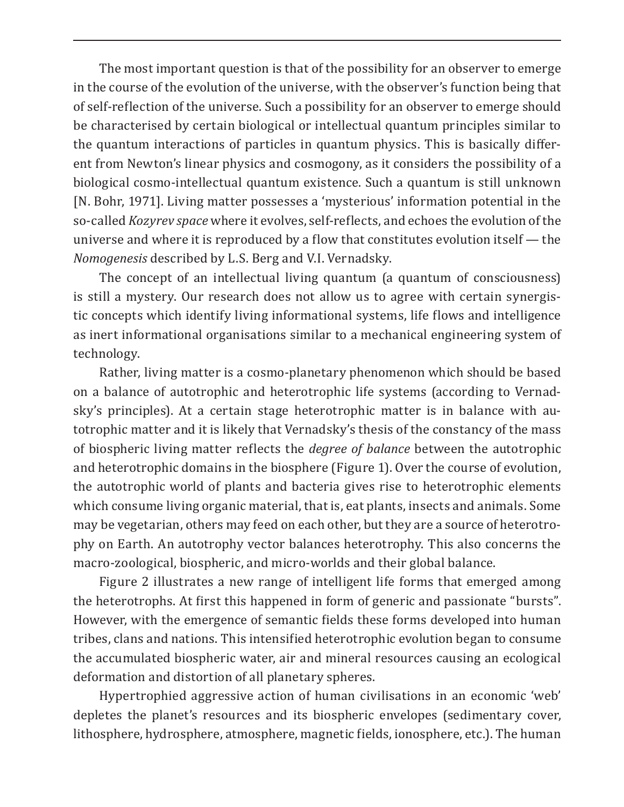The most important question is that of the possibility for an observer to emerge in the course of the evolution of the universe, with the observer's function being that of self-reflection of the universe. Such a possibility for an observer to emerge should be characterised by certain biological or intellectual quantum principles similar to the quantum interactions of particles in quantum physics. This is basically different from Newton's linear physics and cosmogony, as it considers the possibility of a biological cosmo-intellectual quantum existence. Such a quantum is still unknown [N. Bohr, 1971]. Living matter possesses a 'mysterious' information potential in the so-called *Kozyrev space* where it evolves, self-reflects, and echoes the evolution of the universe and where it is reproduced by a flow that constitutes evolution itself — the *Nomogenesis* described by L.S. Berg and V.I. Vernadsky.

The concept of an intellectual living quantum (a quantum of consciousness) is still a mystery. Our research does not allow us to agree with certain synergistic concepts which identify living informational systems, life flows and intelligence as inert informational organisations similar to a mechanical engineering system of technology.

Rather, living matter is a cosmo-planetary phenomenon which should be based on a balance of autotrophic and heterotrophic life systems (according to Vernadsky's principles). At a certain stage heterotrophic matter is in balance with autotrophic matter and it is likely that Vernadsky's thesis of the constancy of the mass of biospheric living matter reflects the *degree of balance* between the autotrophic and heterotrophic domains in the biosphere (Figure 1). Over the course of evolution, the autotrophic world of plants and bacteria gives rise to heterotrophic elements which consume living organic material, that is, eat plants, insects and animals. Some may be vegetarian, others may feed on each other, but they are a source of heterotrophy on Earth. An autotrophy vector balances heterotrophy. This also concerns the macro-zoological, biospheric, and micro-worlds and their global balance.

Figure 2 illustrates a new range of intelligent life forms that emerged among the heterotrophs. At first this happened in form of generic and passionate "bursts". However, with the emergence of semantic fields these forms developed into human tribes, clans and nations. This intensified heterotrophic evolution began to consume the accumulated biospheric water, air and mineral resources causing an ecological deformation and distortion of all planetary spheres.

Hypertrophied aggressive action of human civilisations in an economic 'web' depletes the planet's resources and its biospheric envelopes (sedimentary cover, lithosphere, hydrosphere, atmosphere, magnetic fields, ionosphere, etc.). The human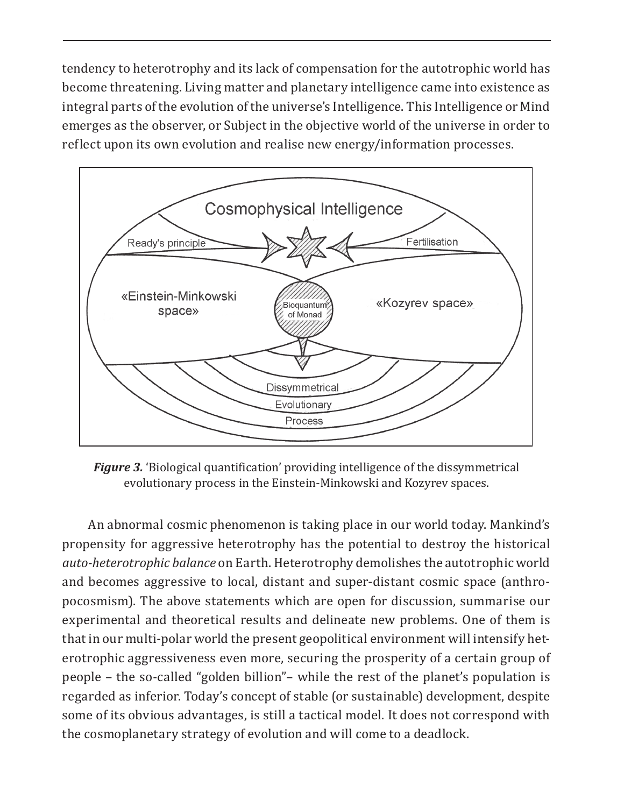tendency to heterotrophy and its lack of compensation for the autotrophic world has become threatening. Living matter and planetary intelligence came into existence as integral parts of the evolution of the universe's Intelligence. This Intelligence or Mind emerges as the observer, or Subject in the objective world of the universe in order to reflect upon its own evolution and realise new energy/information processes.



*Figure 3.* 'Biological quantification' providing intelligence of the dissymmetrical evolutionary process in the Einstein-Minkowski and Kozyrev spaces.

An abnormal cosmic phenomenon is taking place in our world today. Mankind's propensity for aggressive heterotrophy has the potential to destroy the historical *auto-heterotrophic balance* on Earth. Heterotrophy demolishes the autotrophic world and becomes aggressive to local, distant and super-distant cosmic space (anthropocosmism). The above statements which are open for discussion, summarise our experimental and theoretical results and delineate new problems. One of them is that in our multi-polar world the present geopolitical environment will intensify heterotrophic aggressiveness even more, securing the prosperity of a certain group of people – the so-called "golden billion"– while the rest of the planet's population is regarded as inferior. Today's concept of stable (or sustainable) development, despite some of its obvious advantages, is still a tactical model. It does not correspond with the cosmoplanetary strategy of evolution and will come to a deadlock.